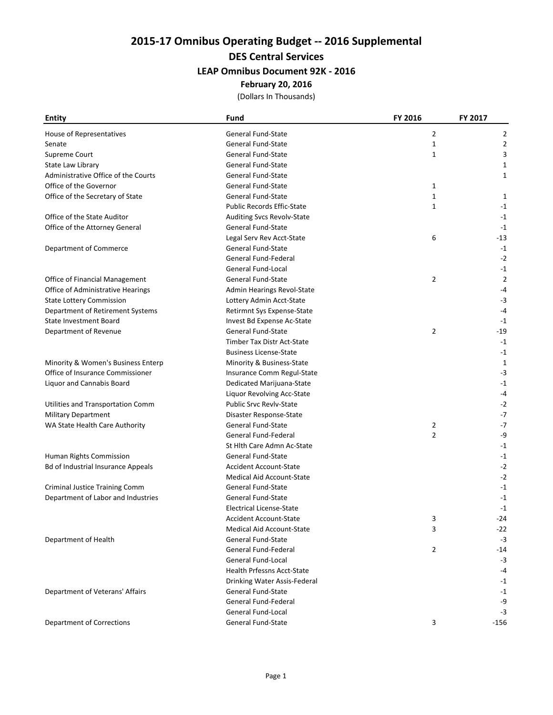2015-17 Omnibus Operating Budget -- 2016 Supplemental

## DES Central Services

## LEAP Omnibus Document 92K - 2016

### February 20, 2016

(Dollars In Thousands)

| <b>Entity</b>                             | Fund                                              | FY 2016        | FY 2017        |
|-------------------------------------------|---------------------------------------------------|----------------|----------------|
| House of Representatives                  | <b>General Fund-State</b>                         | 2              | 2              |
| Senate                                    | <b>General Fund-State</b>                         | $\mathbf{1}$   | 2              |
| Supreme Court                             | <b>General Fund-State</b>                         | 1              | 3              |
| State Law Library                         | <b>General Fund-State</b>                         |                | 1              |
| Administrative Office of the Courts       | <b>General Fund-State</b>                         |                | 1              |
| Office of the Governor                    | <b>General Fund-State</b>                         | 1              |                |
| Office of the Secretary of State          | <b>General Fund-State</b>                         | $\mathbf{1}$   | 1              |
|                                           | <b>Public Records Effic-State</b>                 | 1              | $-1$           |
| Office of the State Auditor               | <b>Auditing Svcs Revolv-State</b>                 |                | $-1$           |
| Office of the Attorney General            | <b>General Fund-State</b>                         |                | $-1$           |
|                                           | Legal Serv Rev Acct-State                         | 6              | -13            |
| Department of Commerce                    | <b>General Fund-State</b>                         |                | $-1$           |
|                                           | General Fund-Federal                              |                | $-2$           |
|                                           | <b>General Fund-Local</b>                         |                | $-1$           |
| Office of Financial Management            | <b>General Fund-State</b>                         | 2              | $\overline{2}$ |
| Office of Administrative Hearings         | Admin Hearings Revol-State                        |                | -4             |
| <b>State Lottery Commission</b>           | Lottery Admin Acct-State                          |                | $-3$           |
| Department of Retirement Systems          | Retirmnt Sys Expense-State                        |                | $-4$           |
| <b>State Investment Board</b>             | Invest Bd Expense Ac-State                        |                | $-1$           |
| Department of Revenue                     | <b>General Fund-State</b>                         | $\overline{2}$ | $-19$          |
|                                           | Timber Tax Distr Act-State                        |                | $-1$           |
|                                           | <b>Business License-State</b>                     |                | $-1$           |
| Minority & Women's Business Enterp        | Minority & Business-State                         |                | 1              |
| Office of Insurance Commissioner          | Insurance Comm Regul-State                        |                | -3             |
| Liquor and Cannabis Board                 | Dedicated Marijuana-State                         |                | $-1$           |
|                                           | Liquor Revolving Acc-State                        |                | -4             |
| Utilities and Transportation Comm         | <b>Public Srvc Revlv-State</b>                    |                | -2             |
| <b>Military Department</b>                | Disaster Response-State                           |                | $-7$           |
| WA State Health Care Authority            | <b>General Fund-State</b>                         | 2              | $-7$           |
|                                           | General Fund-Federal                              | $\overline{2}$ | -9             |
|                                           | St Hlth Care Admn Ac-State                        |                | $-1$           |
| Human Rights Commission                   | <b>General Fund-State</b>                         |                | $-1$           |
| <b>Bd of Industrial Insurance Appeals</b> | <b>Accident Account-State</b>                     |                | $-2$           |
|                                           | <b>Medical Aid Account-State</b>                  |                | $-2$           |
| <b>Criminal Justice Training Comm</b>     | <b>General Fund-State</b>                         |                | $-1$           |
| Department of Labor and Industries        | General Fund-State                                |                | $-1$           |
|                                           | <b>Electrical License-State</b>                   |                | $-1$           |
|                                           | Accident Account-State                            | 3              | -24            |
|                                           | <b>Medical Aid Account-State</b>                  | 3              | -22            |
| Department of Health                      | <b>General Fund-State</b>                         |                | $-3$           |
|                                           | General Fund-Federal                              | $\overline{2}$ | -14            |
|                                           | General Fund-Local                                |                | -3             |
|                                           | <b>Health Prfessns Acct-State</b>                 |                | $-4$           |
|                                           | Drinking Water Assis-Federal                      |                | -1             |
| Department of Veterans' Affairs           | General Fund-State<br><b>General Fund-Federal</b> |                | $-1$           |
|                                           | General Fund-Local                                |                | -9             |
|                                           | <b>General Fund-State</b>                         |                | -3             |
| <b>Department of Corrections</b>          |                                                   | 3              | $-156$         |